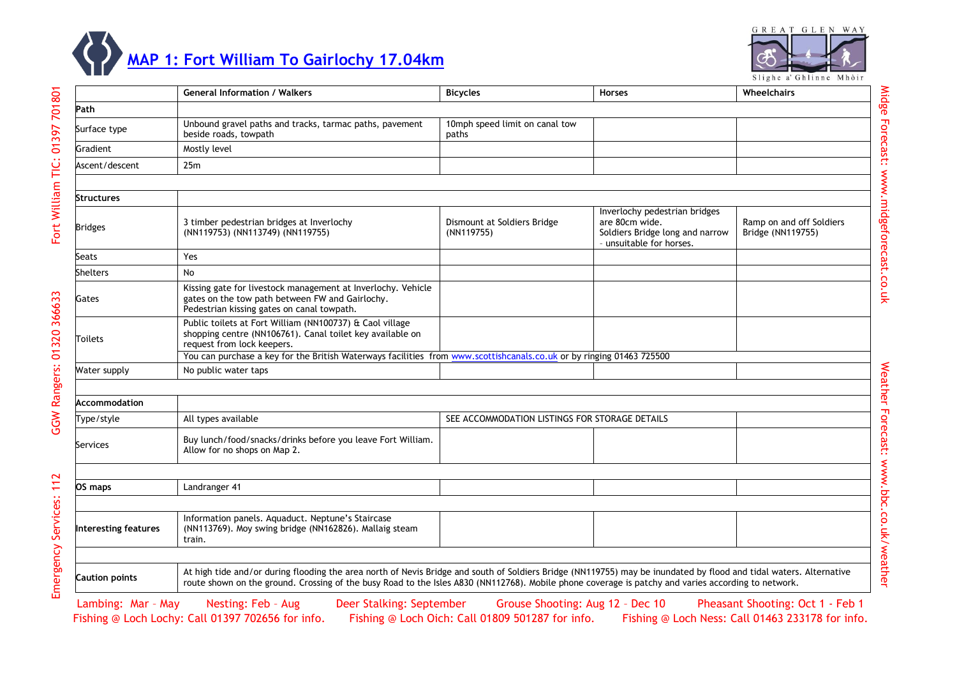



Midge Forecast: www.midgeforecast.co.uk

Midge Forecast: www.midgeforecast.co.uk

Weather Forecast: www.bbc.co.uk/weather

Weather Forecast: www.bbc.co.uk/weather

Fort William TIC: 01397 701801

|                      | <b>General Information / Walkers</b>                                                                                                                                                                                                                                                                                      | <b>Bicycles</b>                                | <b>Horses</b>                                                                                                  | Wheelchairs                                   |  |  |  |
|----------------------|---------------------------------------------------------------------------------------------------------------------------------------------------------------------------------------------------------------------------------------------------------------------------------------------------------------------------|------------------------------------------------|----------------------------------------------------------------------------------------------------------------|-----------------------------------------------|--|--|--|
| Path                 |                                                                                                                                                                                                                                                                                                                           |                                                |                                                                                                                |                                               |  |  |  |
| Surface type         | Unbound gravel paths and tracks, tarmac paths, pavement<br>beside roads, towpath                                                                                                                                                                                                                                          | 10mph speed limit on canal tow<br>paths        |                                                                                                                |                                               |  |  |  |
| Gradient             | Mostly level                                                                                                                                                                                                                                                                                                              |                                                |                                                                                                                |                                               |  |  |  |
| Ascent/descent       | 25m                                                                                                                                                                                                                                                                                                                       |                                                |                                                                                                                |                                               |  |  |  |
|                      |                                                                                                                                                                                                                                                                                                                           |                                                |                                                                                                                |                                               |  |  |  |
| Structures           |                                                                                                                                                                                                                                                                                                                           |                                                |                                                                                                                |                                               |  |  |  |
| <b>Bridges</b>       | 3 timber pedestrian bridges at Inverlochy<br>(NN119753) (NN113749) (NN119755)                                                                                                                                                                                                                                             | Dismount at Soldiers Bridge<br>(NN119755)      | Inverlochy pedestrian bridges<br>are 80cm wide.<br>Soldiers Bridge long and narrow<br>- unsuitable for horses. | Ramp on and off Soldiers<br>Bridge (NN119755) |  |  |  |
| Seats                | Yes                                                                                                                                                                                                                                                                                                                       |                                                |                                                                                                                |                                               |  |  |  |
| Shelters             | No                                                                                                                                                                                                                                                                                                                        |                                                |                                                                                                                |                                               |  |  |  |
| Gates                | Kissing gate for livestock management at Inverlochy. Vehicle<br>gates on the tow path between FW and Gairlochy.<br>Pedestrian kissing gates on canal towpath.                                                                                                                                                             |                                                |                                                                                                                |                                               |  |  |  |
| Toilets              | Public toilets at Fort William (NN100737) & Caol village<br>shopping centre (NN106761). Canal toilet key available on<br>request from lock keepers.                                                                                                                                                                       |                                                |                                                                                                                |                                               |  |  |  |
|                      | You can purchase a key for the British Waterways facilities from www.scottishcanals.co.uk or by ringing 01463 725500                                                                                                                                                                                                      |                                                |                                                                                                                |                                               |  |  |  |
| Water supply         | No public water taps                                                                                                                                                                                                                                                                                                      |                                                |                                                                                                                |                                               |  |  |  |
|                      |                                                                                                                                                                                                                                                                                                                           |                                                |                                                                                                                |                                               |  |  |  |
| Accommodation        |                                                                                                                                                                                                                                                                                                                           |                                                |                                                                                                                |                                               |  |  |  |
| Type/style           | All types available                                                                                                                                                                                                                                                                                                       | SEE ACCOMMODATION LISTINGS FOR STORAGE DETAILS |                                                                                                                |                                               |  |  |  |
| Services             | Buy lunch/food/snacks/drinks before you leave Fort William.<br>Allow for no shops on Map 2.                                                                                                                                                                                                                               |                                                |                                                                                                                |                                               |  |  |  |
|                      |                                                                                                                                                                                                                                                                                                                           |                                                |                                                                                                                |                                               |  |  |  |
| OS maps              | Landranger 41                                                                                                                                                                                                                                                                                                             |                                                |                                                                                                                |                                               |  |  |  |
|                      |                                                                                                                                                                                                                                                                                                                           |                                                |                                                                                                                |                                               |  |  |  |
| Interesting features | Information panels. Aquaduct. Neptune's Staircase<br>(NN113769). Moy swing bridge (NN162826). Mallaig steam<br>train.                                                                                                                                                                                                     |                                                |                                                                                                                |                                               |  |  |  |
|                      |                                                                                                                                                                                                                                                                                                                           |                                                |                                                                                                                |                                               |  |  |  |
| Caution points       | At high tide and/or during flooding the area north of Nevis Bridge and south of Soldiers Bridge (NN119755) may be inundated by flood and tidal waters. Alternative<br>route shown on the ground. Crossing of the busy Road to the Isles A830 (NN112768). Mobile phone coverage is patchy and varies according to network. |                                                |                                                                                                                |                                               |  |  |  |

Fishing @ Loch Lochy: Call 01397 702656 for info. Fishing @ Loch Oich: Call 01809 501287 for info. Fishing @ Loch Ness: Call 01463 233178 for info. Lambing: Mar - May Nesting: Feb - Aug Deer Stalking: September Grouse Shooting: Aug 12 - Dec 10 Pheasant Shooting: Oct 1 - Feb 1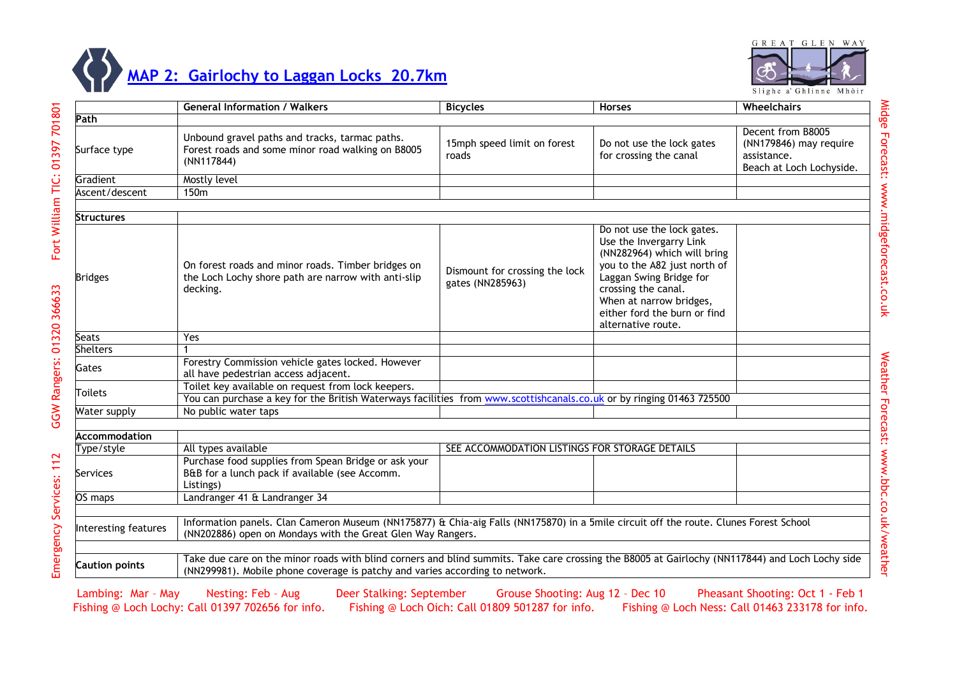



|                       | <b>General Information / Walkers</b>                                                                                                                                                                                            | <b>Bicycles</b>                                    | <b>Horses</b>                                                                                                                                                                                                                                           | <b>Wheelchairs</b>                                                                     |
|-----------------------|---------------------------------------------------------------------------------------------------------------------------------------------------------------------------------------------------------------------------------|----------------------------------------------------|---------------------------------------------------------------------------------------------------------------------------------------------------------------------------------------------------------------------------------------------------------|----------------------------------------------------------------------------------------|
| Path                  |                                                                                                                                                                                                                                 |                                                    |                                                                                                                                                                                                                                                         |                                                                                        |
| Surface type          | Unbound gravel paths and tracks, tarmac paths.<br>Forest roads and some minor road walking on B8005<br>(NN117844)                                                                                                               | 15mph speed limit on forest<br>roads               | Do not use the lock gates<br>for crossing the canal                                                                                                                                                                                                     | Decent from B8005<br>(NN179846) may require<br>assistance.<br>Beach at Loch Lochyside. |
| Gradient              | Mostly level                                                                                                                                                                                                                    |                                                    |                                                                                                                                                                                                                                                         |                                                                                        |
| Ascent/descent        | 150 <sub>m</sub>                                                                                                                                                                                                                |                                                    |                                                                                                                                                                                                                                                         |                                                                                        |
|                       |                                                                                                                                                                                                                                 |                                                    |                                                                                                                                                                                                                                                         |                                                                                        |
| Structures            |                                                                                                                                                                                                                                 |                                                    |                                                                                                                                                                                                                                                         |                                                                                        |
| <b>Bridges</b>        | On forest roads and minor roads. Timber bridges on<br>the Loch Lochy shore path are narrow with anti-slip<br>decking.                                                                                                           | Dismount for crossing the lock<br>gates (NN285963) | Do not use the lock gates.<br>Use the Invergarry Link<br>(NN282964) which will bring<br>you to the A82 just north of<br>Laggan Swing Bridge for<br>crossing the canal.<br>When at narrow bridges,<br>either ford the burn or find<br>alternative route. |                                                                                        |
| Seats                 | Yes                                                                                                                                                                                                                             |                                                    |                                                                                                                                                                                                                                                         |                                                                                        |
| <b>Shelters</b>       |                                                                                                                                                                                                                                 |                                                    |                                                                                                                                                                                                                                                         |                                                                                        |
| Gates                 | Forestry Commission vehicle gates locked. However<br>all have pedestrian access adjacent.                                                                                                                                       |                                                    |                                                                                                                                                                                                                                                         |                                                                                        |
| <b>Toilets</b>        | Toilet key available on request from lock keepers.<br>You can purchase a key for the British Waterways facilities from www.scottishcanals.co.uk or by ringing 01463 725500                                                      |                                                    |                                                                                                                                                                                                                                                         |                                                                                        |
| Water supply          | No public water taps                                                                                                                                                                                                            |                                                    |                                                                                                                                                                                                                                                         |                                                                                        |
|                       |                                                                                                                                                                                                                                 |                                                    |                                                                                                                                                                                                                                                         |                                                                                        |
| <b>Accommodation</b>  |                                                                                                                                                                                                                                 |                                                    |                                                                                                                                                                                                                                                         |                                                                                        |
| Type/style            | All types available                                                                                                                                                                                                             | SEE ACCOMMODATION LISTINGS FOR STORAGE DETAILS     |                                                                                                                                                                                                                                                         |                                                                                        |
| Services              | Purchase food supplies from Spean Bridge or ask your<br>B&B for a lunch pack if available (see Accomm.<br>Listings)                                                                                                             |                                                    |                                                                                                                                                                                                                                                         |                                                                                        |
| OS maps               | Landranger 41 & Landranger 34                                                                                                                                                                                                   |                                                    |                                                                                                                                                                                                                                                         |                                                                                        |
|                       |                                                                                                                                                                                                                                 |                                                    |                                                                                                                                                                                                                                                         |                                                                                        |
| Interesting features  | Information panels. Clan Cameron Museum (NN175877) & Chia-aig Falls (NN175870) in a 5mile circuit off the route. Clunes Forest School<br>(NN202886) open on Mondays with the Great Glen Way Rangers.                            |                                                    |                                                                                                                                                                                                                                                         |                                                                                        |
| <b>Caution points</b> | Take due care on the minor roads with blind corners and blind summits. Take care crossing the B8005 at Gairlochy (NN117844) and Loch Lochy side<br>(NN299981). Mobile phone coverage is patchy and varies according to network. |                                                    |                                                                                                                                                                                                                                                         |                                                                                        |

Lambing: Mar - May Nesting: Feb - Aug Deer Stalking: September Grouse Shooting: Aug 12 - Dec 10 Pheasant Shooting: Oct 1 - Feb 1<br>Fishing @ Loch Lochy: Call 01397 702656 for info. Fishing @ Loch Oich: Call 01809 501287 for Fishing @ Loch Lochy: Call 01397 702656 for info.

Midge Forecast: www.midgeforecast.co.uk

Midge Forecast: www.midgeforecast.co.uk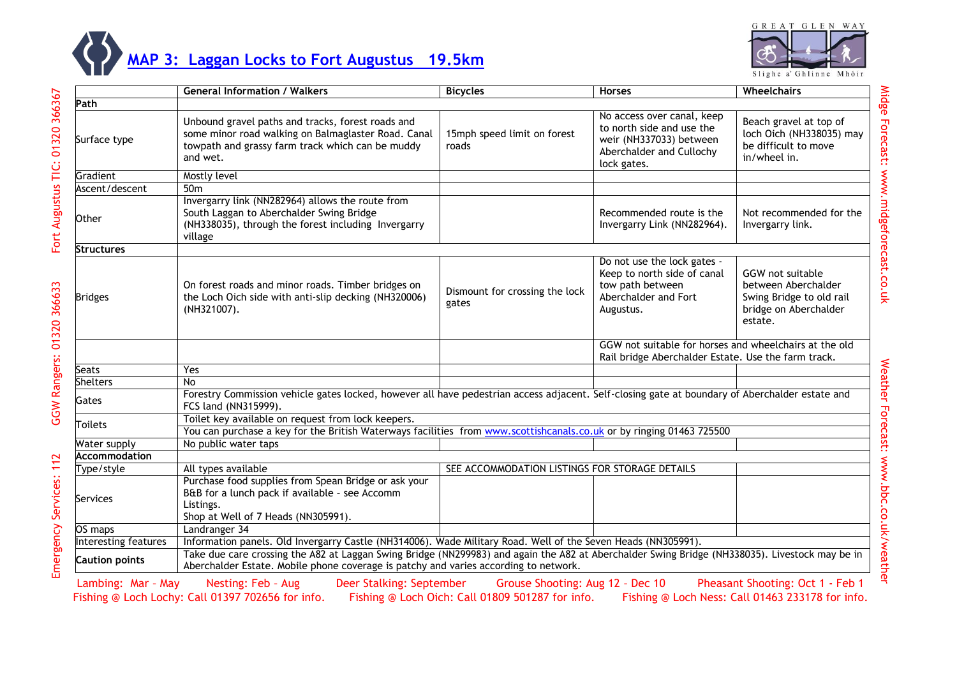

## **MAP 3: Laggan Locks [to Fort Augustus 19.5km](http://www.outdoorhighlands.co.uk/wp-content/uploads/2014/01/Map-3.pdf)**

|                       | <b>General Information / Walkers</b>                                                                                                                                                                                                   | <b>Bicycles</b>                                | <b>Horses</b>                                                                                                                 | Wheelchairs                                                                                             |
|-----------------------|----------------------------------------------------------------------------------------------------------------------------------------------------------------------------------------------------------------------------------------|------------------------------------------------|-------------------------------------------------------------------------------------------------------------------------------|---------------------------------------------------------------------------------------------------------|
| Path                  |                                                                                                                                                                                                                                        |                                                |                                                                                                                               |                                                                                                         |
| Surface type          | Unbound gravel paths and tracks, forest roads and<br>some minor road walking on Balmaglaster Road. Canal<br>towpath and grassy farm track which can be muddy<br>and wet.                                                               | 15mph speed limit on forest<br>roads           | No access over canal, keep<br>to north side and use the<br>weir (NH337033) between<br>Aberchalder and Cullochy<br>lock gates. | Beach gravel at top of<br>loch Oich (NH338035) may<br>be difficult to move<br>in/wheel in.              |
| Gradient              | Mostly level                                                                                                                                                                                                                           |                                                |                                                                                                                               |                                                                                                         |
| Ascent/descent        | 50 <sub>m</sub>                                                                                                                                                                                                                        |                                                |                                                                                                                               |                                                                                                         |
| Other                 | Invergarry link (NN282964) allows the route from<br>South Laggan to Aberchalder Swing Bridge<br>(NH338035), through the forest including Invergarry<br>village                                                                         |                                                | Recommended route is the<br>Invergarry Link (NN282964).                                                                       | Not recommended for the<br>Invergarry link.                                                             |
| Structures            |                                                                                                                                                                                                                                        |                                                |                                                                                                                               |                                                                                                         |
| <b>Bridges</b>        | On forest roads and minor roads. Timber bridges on<br>the Loch Oich side with anti-slip decking (NH320006)<br>(NH321007).                                                                                                              | Dismount for crossing the lock<br>gates        | Do not use the lock gates -<br>Keep to north side of canal<br>tow path between<br>Aberchalder and Fort<br>Augustus.           | GGW not suitable<br>between Aberchalder<br>Swing Bridge to old rail<br>bridge on Aberchalder<br>estate. |
|                       |                                                                                                                                                                                                                                        |                                                | GGW not suitable for horses and wheelchairs at the old<br>Rail bridge Aberchalder Estate. Use the farm track.                 |                                                                                                         |
| Seats                 | Yes                                                                                                                                                                                                                                    |                                                |                                                                                                                               |                                                                                                         |
| <b>Shelters</b>       | <b>No</b>                                                                                                                                                                                                                              |                                                |                                                                                                                               |                                                                                                         |
| Gates                 | Forestry Commission vehicle gates locked, however all have pedestrian access adjacent. Self-closing gate at boundary of Aberchalder estate and<br>FCS land (NN315999).                                                                 |                                                |                                                                                                                               |                                                                                                         |
| Toilets               | Toilet key available on request from lock keepers.                                                                                                                                                                                     |                                                |                                                                                                                               |                                                                                                         |
|                       | You can purchase a key for the British Waterways facilities from www.scottishcanals.co.uk or by ringing 01463 725500                                                                                                                   |                                                |                                                                                                                               |                                                                                                         |
| Water supply          | No public water taps                                                                                                                                                                                                                   |                                                |                                                                                                                               |                                                                                                         |
| <b>Accommodation</b>  |                                                                                                                                                                                                                                        |                                                |                                                                                                                               |                                                                                                         |
| Type/style            | All types available                                                                                                                                                                                                                    | SEE ACCOMMODATION LISTINGS FOR STORAGE DETAILS |                                                                                                                               |                                                                                                         |
| Services              | Purchase food supplies from Spean Bridge or ask your<br>B&B for a lunch pack if available - see Accomm<br>Listings.<br>Shop at Well of 7 Heads (NN305991).                                                                             |                                                |                                                                                                                               |                                                                                                         |
| OS maps               | Landranger 34                                                                                                                                                                                                                          |                                                |                                                                                                                               |                                                                                                         |
| Interesting features  | Information panels. Old Invergarry Castle (NH314006). Wade Military Road. Well of the Seven Heads (NN305991).                                                                                                                          |                                                |                                                                                                                               |                                                                                                         |
| <b>Caution points</b> | Take due care crossing the A82 at Laggan Swing Bridge (NN299983) and again the A82 at Aberchalder Swing Bridge (NH338035). Livestock may be in<br>Aberchalder Estate. Mobile phone coverage is patchy and varies according to network. |                                                |                                                                                                                               |                                                                                                         |
| Lambing: Mar - May    | Nesting: Feb - Aug.<br>Deer Stalking: September                                                                                                                                                                                        | <b>Grouse Shooting: Aug 12 - Dec 10</b>        |                                                                                                                               | Pheasant Shooting: Oct 1 - Feb 1                                                                        |

Weather Forecast: www.bbc.co.uk/weather Weather Forecast: www.bbc.co.uk/weather

Fort Augustus TIC: 01320 366367 Emergency Services: 112 GGW Rangers: 01320 366633 Fort Augustus TIC: 01320 366367

GGW Rangers: 01320 366633

Lambing: Mar – May Nesting: Feb – Aug Deer Stalking: September Grouse Shooting: Aug 12 – Dec 10 Pheasant Shooting: Oct 1 - Feb 1 Fishing @ Loch Lochy: Call 01397 702656 for info. Fishing @ Loch Oich: Call 01809 501287 for info. Fishing @ Loch Ness: Call 01463 233178 for info.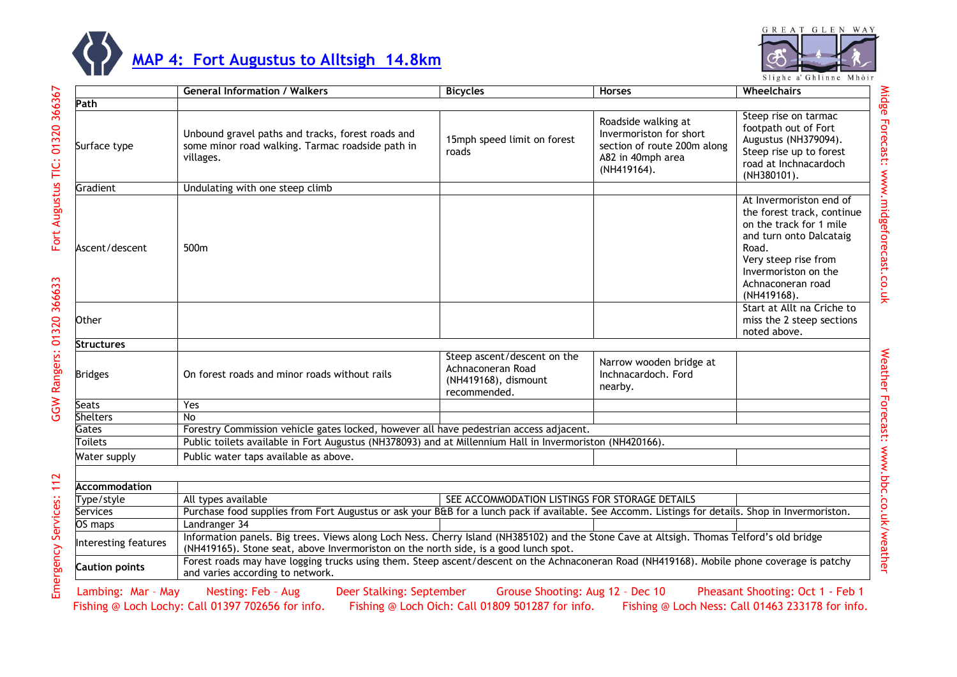



Slighe a' Ghlinne Mhòir

|                       | <b>General Information / Walkers</b>                                                                                                                                                                                              | <b>Bicycles</b>                                                                          | <b>Horses</b>                                                                                                     | Wheelchairs                                                                                                                                                                                              |
|-----------------------|-----------------------------------------------------------------------------------------------------------------------------------------------------------------------------------------------------------------------------------|------------------------------------------------------------------------------------------|-------------------------------------------------------------------------------------------------------------------|----------------------------------------------------------------------------------------------------------------------------------------------------------------------------------------------------------|
| Path                  |                                                                                                                                                                                                                                   |                                                                                          |                                                                                                                   |                                                                                                                                                                                                          |
| Surface type          | Unbound gravel paths and tracks, forest roads and<br>some minor road walking. Tarmac roadside path in<br>villages.                                                                                                                | 15mph speed limit on forest<br>roads                                                     | Roadside walking at<br>Invermoriston for short<br>section of route 200m along<br>A82 in 40mph area<br>(NH419164). | Steep rise on tarmac<br>footpath out of Fort<br>Augustus (NH379094).<br>Steep rise up to forest<br>road at Inchnacardoch<br>(NH380101).                                                                  |
| Gradient              | Undulating with one steep climb                                                                                                                                                                                                   |                                                                                          |                                                                                                                   |                                                                                                                                                                                                          |
| Ascent/descent        | 500m                                                                                                                                                                                                                              |                                                                                          |                                                                                                                   | At Invermoriston end of<br>the forest track, continue<br>on the track for 1 mile<br>and turn onto Dalcataig<br>Road.<br>Very steep rise from<br>Invermoriston on the<br>Achnaconeran road<br>(NH419168). |
| Other                 |                                                                                                                                                                                                                                   |                                                                                          |                                                                                                                   | Start at Allt na Criche to<br>miss the 2 steep sections<br>noted above.                                                                                                                                  |
| <b>Structures</b>     |                                                                                                                                                                                                                                   |                                                                                          |                                                                                                                   |                                                                                                                                                                                                          |
| <b>Bridges</b>        | On forest roads and minor roads without rails                                                                                                                                                                                     | Steep ascent/descent on the<br>Achnaconeran Road<br>(NH419168), dismount<br>recommended. | Narrow wooden bridge at<br>Inchnacardoch, Ford<br>nearby.                                                         |                                                                                                                                                                                                          |
| Seats                 | Yes                                                                                                                                                                                                                               |                                                                                          |                                                                                                                   |                                                                                                                                                                                                          |
| <b>Shelters</b>       | $\overline{N}$                                                                                                                                                                                                                    |                                                                                          |                                                                                                                   |                                                                                                                                                                                                          |
| Gates                 | Forestry Commission vehicle gates locked, however all have pedestrian access adjacent.                                                                                                                                            |                                                                                          |                                                                                                                   |                                                                                                                                                                                                          |
| Toilets               | Public toilets available in Fort Augustus (NH378093) and at Millennium Hall in Invermoriston (NH420166).                                                                                                                          |                                                                                          |                                                                                                                   |                                                                                                                                                                                                          |
| Water supply          | Public water taps available as above.                                                                                                                                                                                             |                                                                                          |                                                                                                                   |                                                                                                                                                                                                          |
| Accommodation         |                                                                                                                                                                                                                                   |                                                                                          |                                                                                                                   |                                                                                                                                                                                                          |
| Type/style            | All types available                                                                                                                                                                                                               | SEE ACCOMMODATION LISTINGS FOR STORAGE DETAILS                                           |                                                                                                                   |                                                                                                                                                                                                          |
| Services              | Purchase food supplies from Fort Augustus or ask your B&B for a lunch pack if available. See Accomm. Listings for details. Shop in Invermoriston.                                                                                 |                                                                                          |                                                                                                                   |                                                                                                                                                                                                          |
| OS maps               | Landranger 34                                                                                                                                                                                                                     |                                                                                          |                                                                                                                   |                                                                                                                                                                                                          |
| Interesting features  | Information panels. Big trees. Views along Loch Ness. Cherry Island (NH385102) and the Stone Cave at Altsigh. Thomas Telford's old bridge<br>(NH419165). Stone seat, above Invermoriston on the north side, is a good lunch spot. |                                                                                          |                                                                                                                   |                                                                                                                                                                                                          |
| <b>Caution points</b> | Forest roads may have logging trucks using them. Steep ascent/descent on the Achnaconeran Road (NH419168). Mobile phone coverage is patchy<br>and varies according to network.                                                    |                                                                                          |                                                                                                                   |                                                                                                                                                                                                          |

Lambing: Mar - May Nesting: Feb - Aug Deer Stalking: September Grouse Shooting: Aug 12 - Dec 10 Pheasant Shooting: Oct 1 - Feb 1 Fishing @ Loch Lochy: Call 01397 702656 for info. Fishing @ Loch Oich: Call 01809 501287 for info. Fishing @ Loch Ness: Call 01463 233178 for info.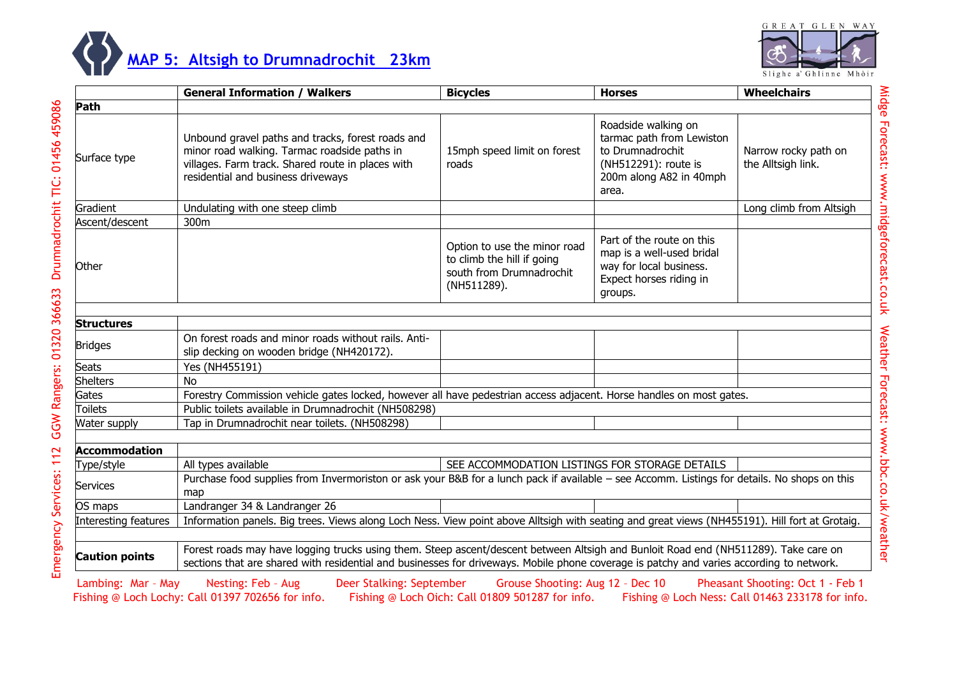



|                       | <b>General Information / Walkers</b>                                                                                                                                                                                                                                            | <b>Bicycles</b>                                                                                       | <b>Horses</b>                                                                                                                    | <b>Wheelchairs</b>                         |  |
|-----------------------|---------------------------------------------------------------------------------------------------------------------------------------------------------------------------------------------------------------------------------------------------------------------------------|-------------------------------------------------------------------------------------------------------|----------------------------------------------------------------------------------------------------------------------------------|--------------------------------------------|--|
| Path                  |                                                                                                                                                                                                                                                                                 |                                                                                                       |                                                                                                                                  |                                            |  |
| Surface type          | Unbound gravel paths and tracks, forest roads and<br>minor road walking. Tarmac roadside paths in<br>villages. Farm track. Shared route in places with<br>residential and business driveways                                                                                    | 15mph speed limit on forest<br>roads                                                                  | Roadside walking on<br>tarmac path from Lewiston<br>to Drumnadrochit<br>(NH512291): route is<br>200m along A82 in 40mph<br>area. | Narrow rocky path on<br>the Alltsigh link. |  |
| Gradient              | Undulating with one steep climb                                                                                                                                                                                                                                                 |                                                                                                       |                                                                                                                                  | Long climb from Altsigh                    |  |
| Ascent/descent        | 300m                                                                                                                                                                                                                                                                            |                                                                                                       |                                                                                                                                  |                                            |  |
| Other                 |                                                                                                                                                                                                                                                                                 | Option to use the minor road<br>to climb the hill if going<br>south from Drumnadrochit<br>(NH511289). | Part of the route on this<br>map is a well-used bridal<br>way for local business.<br>Expect horses riding in<br>groups.          |                                            |  |
| <b>Structures</b>     |                                                                                                                                                                                                                                                                                 |                                                                                                       |                                                                                                                                  |                                            |  |
| <b>Bridges</b>        | On forest roads and minor roads without rails. Anti-<br>slip decking on wooden bridge (NH420172).                                                                                                                                                                               |                                                                                                       |                                                                                                                                  |                                            |  |
| <b>Seats</b>          | Yes (NH455191)                                                                                                                                                                                                                                                                  |                                                                                                       |                                                                                                                                  |                                            |  |
| <b>Shelters</b>       | <b>No</b>                                                                                                                                                                                                                                                                       |                                                                                                       |                                                                                                                                  |                                            |  |
| Gates                 | Forestry Commission vehicle gates locked, however all have pedestrian access adjacent. Horse handles on most gates.                                                                                                                                                             |                                                                                                       |                                                                                                                                  |                                            |  |
| <b>Toilets</b>        | Public toilets available in Drumnadrochit (NH508298)                                                                                                                                                                                                                            |                                                                                                       |                                                                                                                                  |                                            |  |
| Water supply          | Tap in Drumnadrochit near toilets. (NH508298)                                                                                                                                                                                                                                   |                                                                                                       |                                                                                                                                  |                                            |  |
| <b>Accommodation</b>  |                                                                                                                                                                                                                                                                                 |                                                                                                       |                                                                                                                                  |                                            |  |
| Type/style            | All types available                                                                                                                                                                                                                                                             | SEE ACCOMMODATION LISTINGS FOR STORAGE DETAILS                                                        |                                                                                                                                  |                                            |  |
| Services              | Purchase food supplies from Invermoriston or ask your B&B for a lunch pack if available - see Accomm. Listings for details. No shops on this<br>map                                                                                                                             |                                                                                                       |                                                                                                                                  |                                            |  |
| OS maps               | Landranger 34 & Landranger 26                                                                                                                                                                                                                                                   |                                                                                                       |                                                                                                                                  |                                            |  |
| Interesting features  | Information panels. Big trees. Views along Loch Ness. View point above Alltsigh with seating and great views (NH455191). Hill fort at Grotaig.                                                                                                                                  |                                                                                                       |                                                                                                                                  |                                            |  |
|                       |                                                                                                                                                                                                                                                                                 |                                                                                                       |                                                                                                                                  |                                            |  |
| <b>Caution points</b> | Forest roads may have logging trucks using them. Steep ascent/descent between Altsigh and Bunloit Road end (NH511289). Take care on<br>sections that are shared with residential and businesses for driveways. Mobile phone coverage is patchy and varies according to network. |                                                                                                       |                                                                                                                                  |                                            |  |

Lambing: Mar - May Nesting: Feb - Aug Deer Stalking: September Grouse Shooting: Aug 12 - Dec 10 Pheasant Shooting: Oct 1 - Feb 1<br>Fishing @ Loch Lochy: Call 01397 702656 for info. Fishing @ Loch Oich: Call 01809 501287 for Fishing @ Loch Oich: Call 01809 501287 for info. Fishing @ Loch Ness: Call 01463 233178 for info.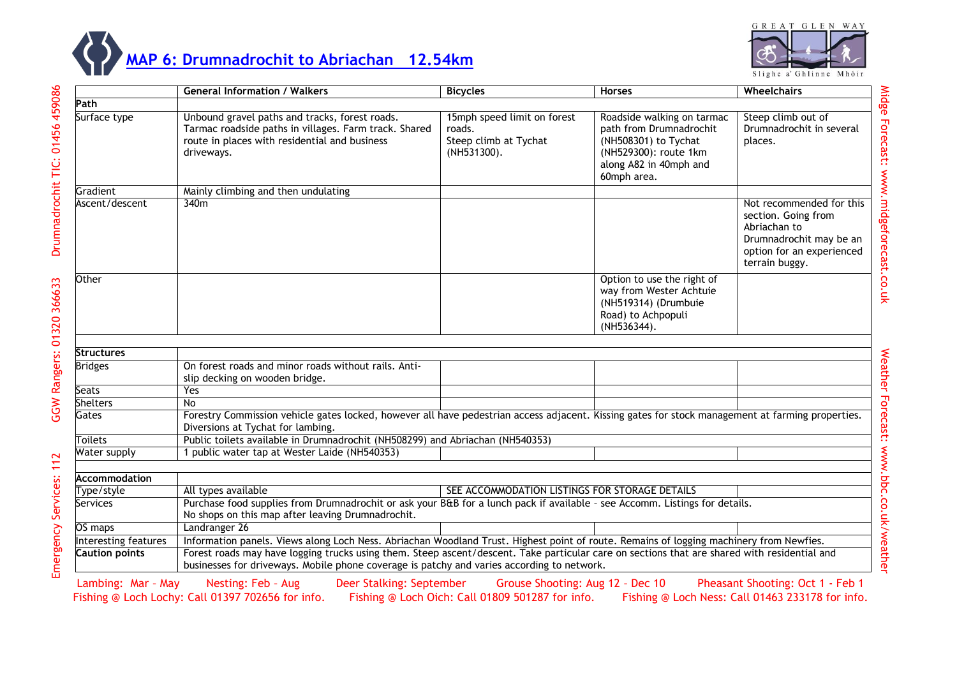



Drumnadrochit TIC: 01456 459086

GGW Rangers: 01320 366633

Emergency Services: 112

|                       | <b>General Information / Walkers</b>                                                                                                                                                                                                       | <b>Bicycles</b>                                                               | <b>Horses</b>                                                                                                                                   | Wheelchairs                                                                                                                               |  |
|-----------------------|--------------------------------------------------------------------------------------------------------------------------------------------------------------------------------------------------------------------------------------------|-------------------------------------------------------------------------------|-------------------------------------------------------------------------------------------------------------------------------------------------|-------------------------------------------------------------------------------------------------------------------------------------------|--|
| Path                  |                                                                                                                                                                                                                                            |                                                                               |                                                                                                                                                 |                                                                                                                                           |  |
| Surface type          | Unbound gravel paths and tracks, forest roads.<br>Tarmac roadside paths in villages. Farm track. Shared<br>route in places with residential and business<br>driveways.                                                                     | 15mph speed limit on forest<br>roads.<br>Steep climb at Tychat<br>(NH531300). | Roadside walking on tarmac<br>path from Drumnadrochit<br>(NH508301) to Tychat<br>(NH529300): route 1km<br>along A82 in 40mph and<br>60mph area. | Steep climb out of<br>Drumnadrochit in several<br>places.                                                                                 |  |
| Gradient              | Mainly climbing and then undulating                                                                                                                                                                                                        |                                                                               |                                                                                                                                                 |                                                                                                                                           |  |
| Ascent/descent        | 340m                                                                                                                                                                                                                                       |                                                                               |                                                                                                                                                 | Not recommended for this<br>section. Going from<br>Abriachan to<br>Drumnadrochit may be an<br>option for an experienced<br>terrain buggy. |  |
| <b>Other</b>          |                                                                                                                                                                                                                                            |                                                                               | Option to use the right of<br>way from Wester Achtuie<br>(NH519314) (Drumbuie<br>Road) to Achpopuli<br>(NH536344).                              |                                                                                                                                           |  |
| <b>Structures</b>     |                                                                                                                                                                                                                                            |                                                                               |                                                                                                                                                 |                                                                                                                                           |  |
| <b>Bridges</b>        | On forest roads and minor roads without rails. Anti-<br>slip decking on wooden bridge.                                                                                                                                                     |                                                                               |                                                                                                                                                 |                                                                                                                                           |  |
| Seats                 | Yes                                                                                                                                                                                                                                        |                                                                               |                                                                                                                                                 |                                                                                                                                           |  |
| <b>Shelters</b>       | No.                                                                                                                                                                                                                                        |                                                                               |                                                                                                                                                 |                                                                                                                                           |  |
| Gates                 | Forestry Commission vehicle gates locked, however all have pedestrian access adjacent. Kissing gates for stock management at farming properties.<br>Diversions at Tychat for lambing.                                                      |                                                                               |                                                                                                                                                 |                                                                                                                                           |  |
| Toilets               | Public toilets available in Drumnadrochit (NH508299) and Abriachan (NH540353)                                                                                                                                                              |                                                                               |                                                                                                                                                 |                                                                                                                                           |  |
| Water supply          | 1 public water tap at Wester Laide (NH540353)                                                                                                                                                                                              |                                                                               |                                                                                                                                                 |                                                                                                                                           |  |
| <b>Accommodation</b>  |                                                                                                                                                                                                                                            |                                                                               |                                                                                                                                                 |                                                                                                                                           |  |
| Type/style            | All types available                                                                                                                                                                                                                        | SEE ACCOMMODATION LISTINGS FOR STORAGE DETAILS                                |                                                                                                                                                 |                                                                                                                                           |  |
| Services              | Purchase food supplies from Drumnadrochit or ask your B&B for a lunch pack if available - see Accomm. Listings for details.<br>No shops on this map after leaving Drumnadrochit.                                                           |                                                                               |                                                                                                                                                 |                                                                                                                                           |  |
| OS maps               | Landranger 26                                                                                                                                                                                                                              |                                                                               |                                                                                                                                                 |                                                                                                                                           |  |
| Interesting features  | Information panels. Views along Loch Ness. Abriachan Woodland Trust. Highest point of route. Remains of logging machinery from Newfies.                                                                                                    |                                                                               |                                                                                                                                                 |                                                                                                                                           |  |
| <b>Caution points</b> | Forest roads may have logging trucks using them. Steep ascent/descent. Take particular care on sections that are shared with residential and<br>businesses for driveways. Mobile phone coverage is patchy and varies according to network. |                                                                               |                                                                                                                                                 |                                                                                                                                           |  |

Lambing: Mar - May Nesting: Feb - Aug Deer Stalking: September Grouse Shooting: Aug 12 - Dec 10 Pheasant Shooting: Oct 1 - Feb 1<br>Fishing @ Loch Lochy: Call 01397 702656 for info. Fishing @ Loch Oich: Call 01809 501287 for Fishing @ Loch Oich: Call 01809 501287 for info.